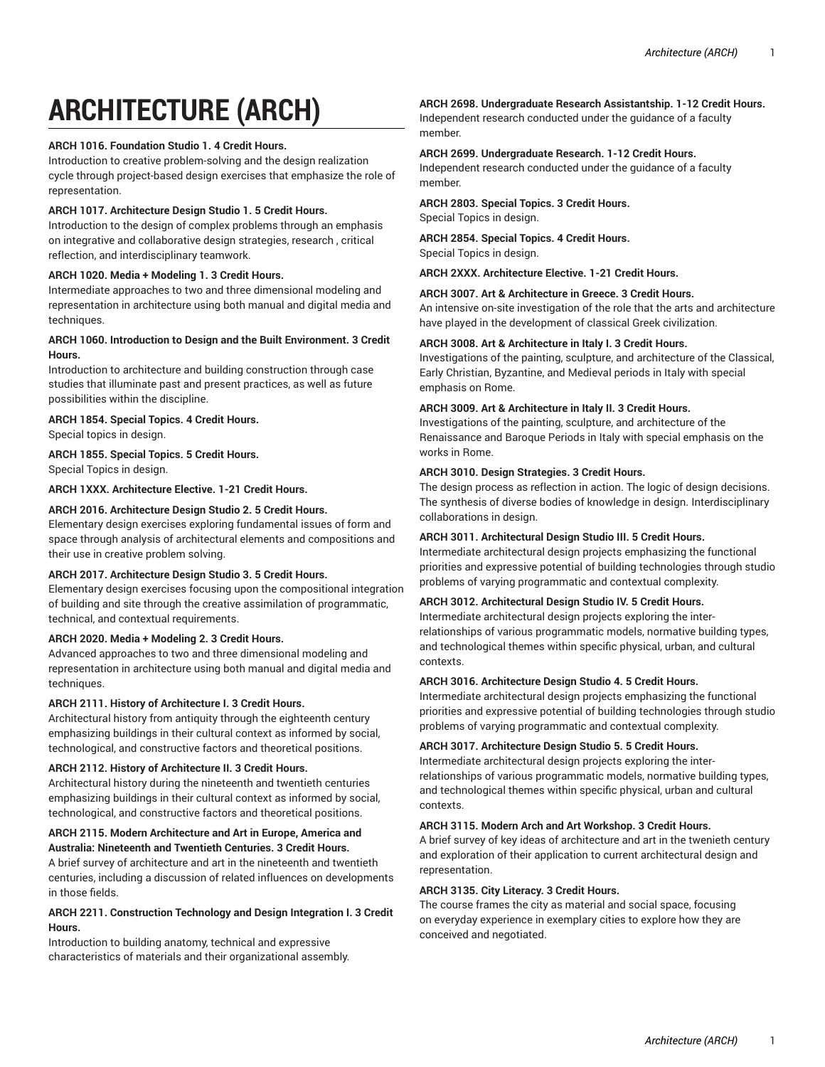# **ARCHITECTURE (ARCH)**

#### **ARCH 1016. Foundation Studio 1. 4 Credit Hours.**

Introduction to creative problem-solving and the design realization cycle through project-based design exercises that emphasize the role of representation.

#### **ARCH 1017. Architecture Design Studio 1. 5 Credit Hours.**

Introduction to the design of complex problems through an emphasis on integrative and collaborative design strategies, research , critical reflection, and interdisciplinary teamwork.

## **ARCH 1020. Media + Modeling 1. 3 Credit Hours.**

Intermediate approaches to two and three dimensional modeling and representation in architecture using both manual and digital media and techniques.

## **ARCH 1060. Introduction to Design and the Built Environment. 3 Credit Hours.**

Introduction to architecture and building construction through case studies that illuminate past and present practices, as well as future possibilities within the discipline.

#### **ARCH 1854. Special Topics. 4 Credit Hours.**

Special topics in design.

## **ARCH 1855. Special Topics. 5 Credit Hours.**

Special Topics in design.

#### **ARCH 1XXX. Architecture Elective. 1-21 Credit Hours.**

#### **ARCH 2016. Architecture Design Studio 2. 5 Credit Hours.**

Elementary design exercises exploring fundamental issues of form and space through analysis of architectural elements and compositions and their use in creative problem solving.

#### **ARCH 2017. Architecture Design Studio 3. 5 Credit Hours.**

Elementary design exercises focusing upon the compositional integration of building and site through the creative assimilation of programmatic, technical, and contextual requirements.

#### **ARCH 2020. Media + Modeling 2. 3 Credit Hours.**

Advanced approaches to two and three dimensional modeling and representation in architecture using both manual and digital media and techniques.

#### **ARCH 2111. History of Architecture I. 3 Credit Hours.**

Architectural history from antiquity through the eighteenth century emphasizing buildings in their cultural context as informed by social, technological, and constructive factors and theoretical positions.

#### **ARCH 2112. History of Architecture II. 3 Credit Hours.**

Architectural history during the nineteenth and twentieth centuries emphasizing buildings in their cultural context as informed by social, technological, and constructive factors and theoretical positions.

#### **ARCH 2115. Modern Architecture and Art in Europe, America and Australia: Nineteenth and Twentieth Centuries. 3 Credit Hours.**

A brief survey of architecture and art in the nineteenth and twentieth centuries, including a discussion of related influences on developments in those fields.

#### **ARCH 2211. Construction Technology and Design Integration I. 3 Credit Hours.**

Introduction to building anatomy, technical and expressive characteristics of materials and their organizational assembly.

#### **ARCH 2698. Undergraduate Research Assistantship. 1-12 Credit Hours.**

Independent research conducted under the guidance of a faculty member.

#### **ARCH 2699. Undergraduate Research. 1-12 Credit Hours.**

Independent research conducted under the guidance of a faculty member.

#### **ARCH 2803. Special Topics. 3 Credit Hours.** Special Topics in design.

**ARCH 2854. Special Topics. 4 Credit Hours.** Special Topics in design.

**ARCH 2XXX. Architecture Elective. 1-21 Credit Hours.**

#### **ARCH 3007. Art & Architecture in Greece. 3 Credit Hours.**

An intensive on-site investigation of the role that the arts and architecture have played in the development of classical Greek civilization.

#### **ARCH 3008. Art & Architecture in Italy I. 3 Credit Hours.**

Investigations of the painting, sculpture, and architecture of the Classical, Early Christian, Byzantine, and Medieval periods in Italy with special emphasis on Rome.

#### **ARCH 3009. Art & Architecture in Italy II. 3 Credit Hours.**

Investigations of the painting, sculpture, and architecture of the Renaissance and Baroque Periods in Italy with special emphasis on the works in Rome.

#### **ARCH 3010. Design Strategies. 3 Credit Hours.**

The design process as reflection in action. The logic of design decisions. The synthesis of diverse bodies of knowledge in design. Interdisciplinary collaborations in design.

#### **ARCH 3011. Architectural Design Studio III. 5 Credit Hours.**

Intermediate architectural design projects emphasizing the functional priorities and expressive potential of building technologies through studio problems of varying programmatic and contextual complexity.

#### **ARCH 3012. Architectural Design Studio IV. 5 Credit Hours.**

Intermediate architectural design projects exploring the interrelationships of various programmatic models, normative building types, and technological themes within specific physical, urban, and cultural contexts.

#### **ARCH 3016. Architecture Design Studio 4. 5 Credit Hours.**

Intermediate architectural design projects emphasizing the functional priorities and expressive potential of building technologies through studio problems of varying programmatic and contextual complexity.

#### **ARCH 3017. Architecture Design Studio 5. 5 Credit Hours.**

Intermediate architectural design projects exploring the interrelationships of various programmatic models, normative building types, and technological themes within specific physical, urban and cultural contexts.

#### **ARCH 3115. Modern Arch and Art Workshop. 3 Credit Hours.**

A brief survey of key ideas of architecture and art in the twenieth century and exploration of their application to current architectural design and representation.

#### **ARCH 3135. City Literacy. 3 Credit Hours.**

The course frames the city as material and social space, focusing on everyday experience in exemplary cities to explore how they are conceived and negotiated.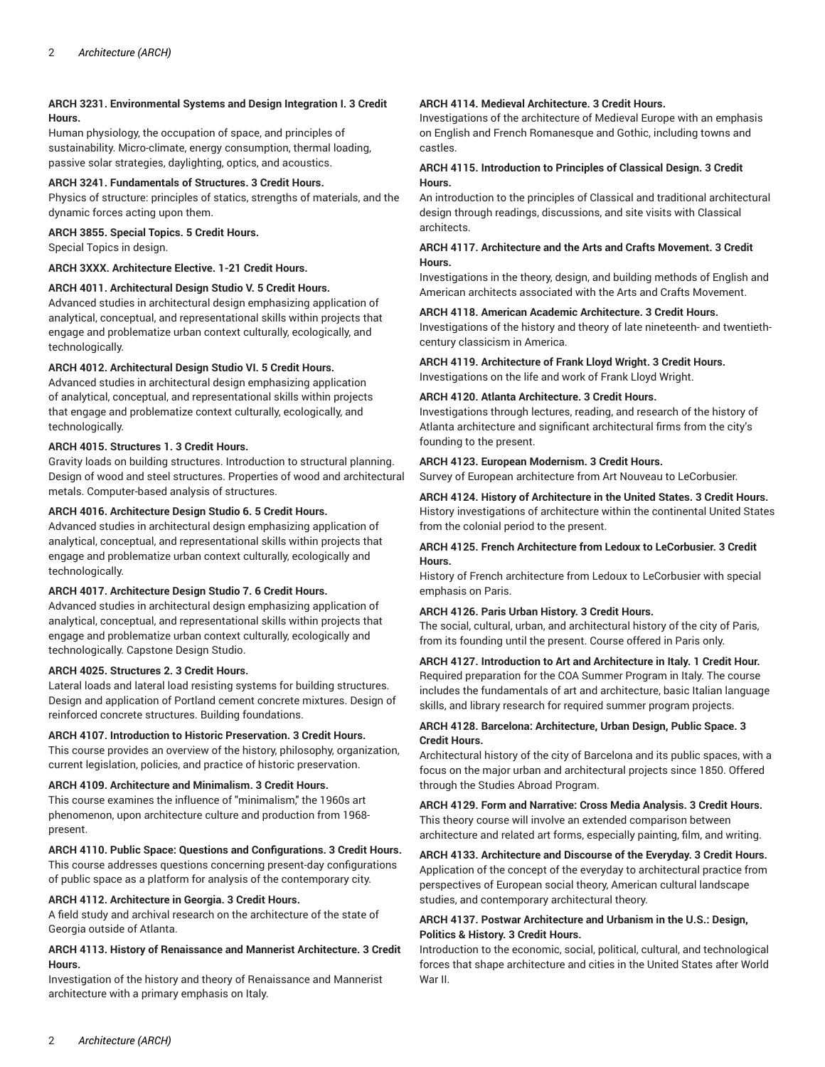## **ARCH 3231. Environmental Systems and Design Integration I. 3 Credit Hours.**

Human physiology, the occupation of space, and principles of sustainability. Micro-climate, energy consumption, thermal loading, passive solar strategies, daylighting, optics, and acoustics.

## **ARCH 3241. Fundamentals of Structures. 3 Credit Hours.**

Physics of structure: principles of statics, strengths of materials, and the dynamic forces acting upon them.

#### **ARCH 3855. Special Topics. 5 Credit Hours.**

Special Topics in design.

## **ARCH 3XXX. Architecture Elective. 1-21 Credit Hours.**

#### **ARCH 4011. Architectural Design Studio V. 5 Credit Hours.**

Advanced studies in architectural design emphasizing application of analytical, conceptual, and representational skills within projects that engage and problematize urban context culturally, ecologically, and technologically.

#### **ARCH 4012. Architectural Design Studio VI. 5 Credit Hours.**

Advanced studies in architectural design emphasizing application of analytical, conceptual, and representational skills within projects that engage and problematize context culturally, ecologically, and technologically.

#### **ARCH 4015. Structures 1. 3 Credit Hours.**

Gravity loads on building structures. Introduction to structural planning. Design of wood and steel structures. Properties of wood and architectural metals. Computer-based analysis of structures.

#### **ARCH 4016. Architecture Design Studio 6. 5 Credit Hours.**

Advanced studies in architectural design emphasizing application of analytical, conceptual, and representational skills within projects that engage and problematize urban context culturally, ecologically and technologically.

#### **ARCH 4017. Architecture Design Studio 7. 6 Credit Hours.**

Advanced studies in architectural design emphasizing application of analytical, conceptual, and representational skills within projects that engage and problematize urban context culturally, ecologically and technologically. Capstone Design Studio.

#### **ARCH 4025. Structures 2. 3 Credit Hours.**

Lateral loads and lateral load resisting systems for building structures. Design and application of Portland cement concrete mixtures. Design of reinforced concrete structures. Building foundations.

#### **ARCH 4107. Introduction to Historic Preservation. 3 Credit Hours.**

This course provides an overview of the history, philosophy, organization, current legislation, policies, and practice of historic preservation.

## **ARCH 4109. Architecture and Minimalism. 3 Credit Hours.**

This course examines the influence of "minimalism," the 1960s art phenomenon, upon architecture culture and production from 1968 present.

## **ARCH 4110. Public Space: Questions and Configurations. 3 Credit Hours.**

This course addresses questions concerning present-day configurations of public space as a platform for analysis of the contemporary city.

#### **ARCH 4112. Architecture in Georgia. 3 Credit Hours.**

A field study and archival research on the architecture of the state of Georgia outside of Atlanta.

#### **ARCH 4113. History of Renaissance and Mannerist Architecture. 3 Credit Hours.**

Investigation of the history and theory of Renaissance and Mannerist architecture with a primary emphasis on Italy.

#### **ARCH 4114. Medieval Architecture. 3 Credit Hours.**

Investigations of the architecture of Medieval Europe with an emphasis on English and French Romanesque and Gothic, including towns and castles.

#### **ARCH 4115. Introduction to Principles of Classical Design. 3 Credit Hours.**

An introduction to the principles of Classical and traditional architectural design through readings, discussions, and site visits with Classical architects.

#### **ARCH 4117. Architecture and the Arts and Crafts Movement. 3 Credit Hours.**

Investigations in the theory, design, and building methods of English and American architects associated with the Arts and Crafts Movement.

#### **ARCH 4118. American Academic Architecture. 3 Credit Hours.**

Investigations of the history and theory of late nineteenth- and twentiethcentury classicism in America.

**ARCH 4119. Architecture of Frank Lloyd Wright. 3 Credit Hours.** Investigations on the life and work of Frank Lloyd Wright.

#### **ARCH 4120. Atlanta Architecture. 3 Credit Hours.**

Investigations through lectures, reading, and research of the history of Atlanta architecture and significant architectural firms from the city's founding to the present.

#### **ARCH 4123. European Modernism. 3 Credit Hours.**

Survey of European architecture from Art Nouveau to LeCorbusier.

#### **ARCH 4124. History of Architecture in the United States. 3 Credit Hours.** History investigations of architecture within the continental United States from the colonial period to the present.

#### **ARCH 4125. French Architecture from Ledoux to LeCorbusier. 3 Credit Hours.**

History of French architecture from Ledoux to LeCorbusier with special emphasis on Paris.

#### **ARCH 4126. Paris Urban History. 3 Credit Hours.**

The social, cultural, urban, and architectural history of the city of Paris, from its founding until the present. Course offered in Paris only.

# **ARCH 4127. Introduction to Art and Architecture in Italy. 1 Credit Hour.**

Required preparation for the COA Summer Program in Italy. The course includes the fundamentals of art and architecture, basic Italian language skills, and library research for required summer program projects.

#### **ARCH 4128. Barcelona: Architecture, Urban Design, Public Space. 3 Credit Hours.**

Architectural history of the city of Barcelona and its public spaces, with a focus on the major urban and architectural projects since 1850. Offered through the Studies Abroad Program.

#### **ARCH 4129. Form and Narrative: Cross Media Analysis. 3 Credit Hours.** This theory course will involve an extended comparison between architecture and related art forms, especially painting, film, and writing.

# **ARCH 4133. Architecture and Discourse of the Everyday. 3 Credit Hours.**

Application of the concept of the everyday to architectural practice from perspectives of European social theory, American cultural landscape studies, and contemporary architectural theory.

## **ARCH 4137. Postwar Architecture and Urbanism in the U.S.: Design, Politics & History. 3 Credit Hours.**

Introduction to the economic, social, political, cultural, and technological forces that shape architecture and cities in the United States after World War II.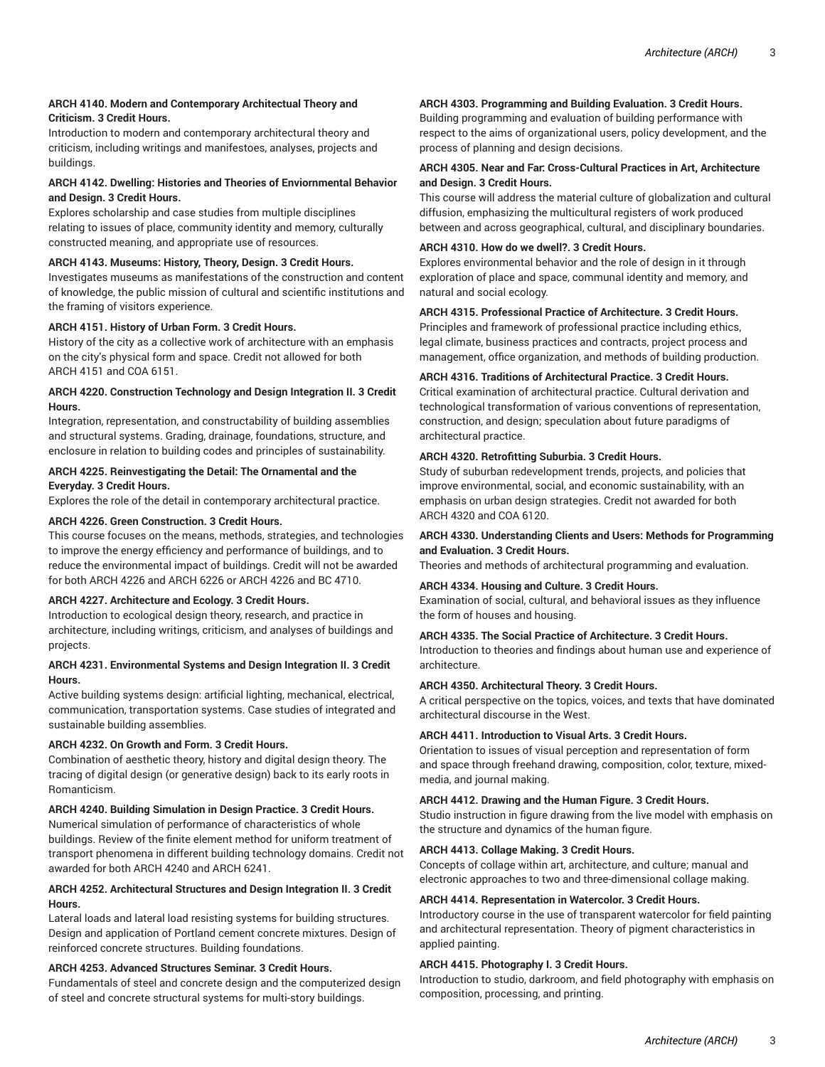#### **ARCH 4140. Modern and Contemporary Architectual Theory and Criticism. 3 Credit Hours.**

Introduction to modern and contemporary architectural theory and criticism, including writings and manifestoes, analyses, projects and buildings.

#### **ARCH 4142. Dwelling: Histories and Theories of Enviornmental Behavior and Design. 3 Credit Hours.**

Explores scholarship and case studies from multiple disciplines relating to issues of place, community identity and memory, culturally constructed meaning, and appropriate use of resources.

#### **ARCH 4143. Museums: History, Theory, Design. 3 Credit Hours.**

Investigates museums as manifestations of the construction and content of knowledge, the public mission of cultural and scientific institutions and the framing of visitors experience.

#### **ARCH 4151. History of Urban Form. 3 Credit Hours.**

History of the city as a collective work of architecture with an emphasis on the city's physical form and space. Credit not allowed for both ARCH 4151 and COA 6151.

#### **ARCH 4220. Construction Technology and Design Integration II. 3 Credit Hours.**

Integration, representation, and constructability of building assemblies and structural systems. Grading, drainage, foundations, structure, and enclosure in relation to building codes and principles of sustainability.

#### **ARCH 4225. Reinvestigating the Detail: The Ornamental and the Everyday. 3 Credit Hours.**

Explores the role of the detail in contemporary architectural practice.

#### **ARCH 4226. Green Construction. 3 Credit Hours.**

This course focuses on the means, methods, strategies, and technologies to improve the energy efficiency and performance of buildings, and to reduce the environmental impact of buildings. Credit will not be awarded for both ARCH 4226 and ARCH 6226 or ARCH 4226 and BC 4710.

#### **ARCH 4227. Architecture and Ecology. 3 Credit Hours.**

Introduction to ecological design theory, research, and practice in architecture, including writings, criticism, and analyses of buildings and projects.

#### **ARCH 4231. Environmental Systems and Design Integration II. 3 Credit Hours.**

Active building systems design: artificial lighting, mechanical, electrical, communication, transportation systems. Case studies of integrated and sustainable building assemblies.

#### **ARCH 4232. On Growth and Form. 3 Credit Hours.**

Combination of aesthetic theory, history and digital design theory. The tracing of digital design (or generative design) back to its early roots in Romanticism.

#### **ARCH 4240. Building Simulation in Design Practice. 3 Credit Hours.**

Numerical simulation of performance of characteristics of whole buildings. Review of the finite element method for uniform treatment of transport phenomena in different building technology domains. Credit not awarded for both ARCH 4240 and ARCH 6241.

#### **ARCH 4252. Architectural Structures and Design Integration II. 3 Credit Hours.**

Lateral loads and lateral load resisting systems for building structures. Design and application of Portland cement concrete mixtures. Design of reinforced concrete structures. Building foundations.

# **ARCH 4253. Advanced Structures Seminar. 3 Credit Hours.**

Fundamentals of steel and concrete design and the computerized design of steel and concrete structural systems for multi-story buildings.

# **ARCH 4303. Programming and Building Evaluation. 3 Credit Hours.**

Building programming and evaluation of building performance with respect to the aims of organizational users, policy development, and the process of planning and design decisions.

## **ARCH 4305. Near and Far: Cross-Cultural Practices in Art, Architecture and Design. 3 Credit Hours.**

This course will address the material culture of globalization and cultural diffusion, emphasizing the multicultural registers of work produced between and across geographical, cultural, and disciplinary boundaries.

# **ARCH 4310. How do we dwell?. 3 Credit Hours.**

Explores environmental behavior and the role of design in it through exploration of place and space, communal identity and memory, and natural and social ecology.

## **ARCH 4315. Professional Practice of Architecture. 3 Credit Hours.**

Principles and framework of professional practice including ethics, legal climate, business practices and contracts, project process and management, office organization, and methods of building production.

## **ARCH 4316. Traditions of Architectural Practice. 3 Credit Hours.**

Critical examination of architectural practice. Cultural derivation and technological transformation of various conventions of representation, construction, and design; speculation about future paradigms of architectural practice.

## **ARCH 4320. Retrofitting Suburbia. 3 Credit Hours.**

Study of suburban redevelopment trends, projects, and policies that improve environmental, social, and economic sustainability, with an emphasis on urban design strategies. Credit not awarded for both ARCH 4320 and COA 6120.

## **ARCH 4330. Understanding Clients and Users: Methods for Programming and Evaluation. 3 Credit Hours.**

Theories and methods of architectural programming and evaluation.

# **ARCH 4334. Housing and Culture. 3 Credit Hours.**

Examination of social, cultural, and behavioral issues as they influence the form of houses and housing.

## **ARCH 4335. The Social Practice of Architecture. 3 Credit Hours.**

Introduction to theories and findings about human use and experience of architecture.

## **ARCH 4350. Architectural Theory. 3 Credit Hours.**

A critical perspective on the topics, voices, and texts that have dominated architectural discourse in the West.

## **ARCH 4411. Introduction to Visual Arts. 3 Credit Hours.**

Orientation to issues of visual perception and representation of form and space through freehand drawing, composition, color, texture, mixedmedia, and journal making.

## **ARCH 4412. Drawing and the Human Figure. 3 Credit Hours.**

Studio instruction in figure drawing from the live model with emphasis on the structure and dynamics of the human figure.

## **ARCH 4413. Collage Making. 3 Credit Hours.**

Concepts of collage within art, architecture, and culture; manual and electronic approaches to two and three-dimensional collage making.

## **ARCH 4414. Representation in Watercolor. 3 Credit Hours.**

Introductory course in the use of transparent watercolor for field painting and architectural representation. Theory of pigment characteristics in applied painting.

# **ARCH 4415. Photography I. 3 Credit Hours.**

Introduction to studio, darkroom, and field photography with emphasis on composition, processing, and printing.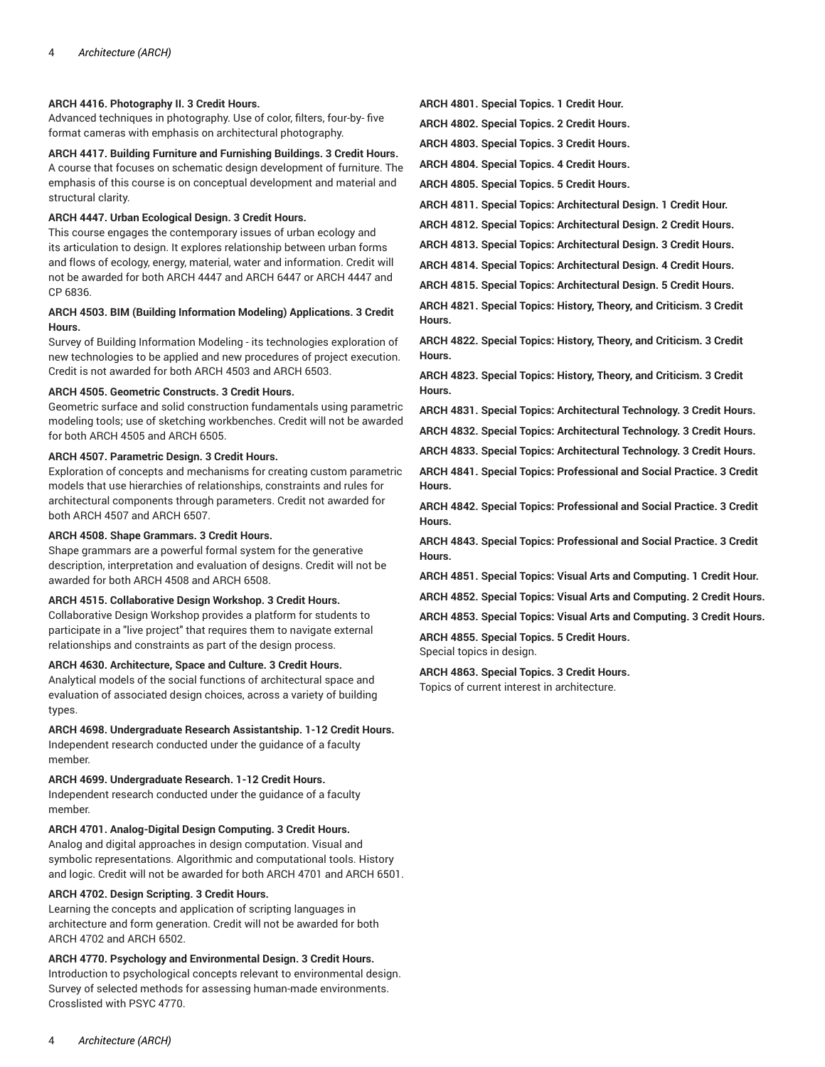#### **ARCH 4416. Photography II. 3 Credit Hours.**

Advanced techniques in photography. Use of color, filters, four-by- five format cameras with emphasis on architectural photography.

# **ARCH 4417. Building Furniture and Furnishing Buildings. 3 Credit Hours.**

A course that focuses on schematic design development of furniture. The emphasis of this course is on conceptual development and material and structural clarity.

# **ARCH 4447. Urban Ecological Design. 3 Credit Hours.**

This course engages the contemporary issues of urban ecology and its articulation to design. It explores relationship between urban forms and flows of ecology, energy, material, water and information. Credit will not be awarded for both ARCH 4447 and ARCH 6447 or ARCH 4447 and CP 6836.

## **ARCH 4503. BIM (Building Information Modeling) Applications. 3 Credit Hours.**

Survey of Building Information Modeling - its technologies exploration of new technologies to be applied and new procedures of project execution. Credit is not awarded for both ARCH 4503 and ARCH 6503.

## **ARCH 4505. Geometric Constructs. 3 Credit Hours.**

Geometric surface and solid construction fundamentals using parametric modeling tools; use of sketching workbenches. Credit will not be awarded for both ARCH 4505 and ARCH 6505.

# **ARCH 4507. Parametric Design. 3 Credit Hours.**

Exploration of concepts and mechanisms for creating custom parametric models that use hierarchies of relationships, constraints and rules for architectural components through parameters. Credit not awarded for both ARCH 4507 and ARCH 6507.

# **ARCH 4508. Shape Grammars. 3 Credit Hours.**

Shape grammars are a powerful formal system for the generative description, interpretation and evaluation of designs. Credit will not be awarded for both ARCH 4508 and ARCH 6508.

## **ARCH 4515. Collaborative Design Workshop. 3 Credit Hours.**

Collaborative Design Workshop provides a platform for students to participate in a "live project" that requires them to navigate external relationships and constraints as part of the design process.

# **ARCH 4630. Architecture, Space and Culture. 3 Credit Hours.**

Analytical models of the social functions of architectural space and evaluation of associated design choices, across a variety of building types.

# **ARCH 4698. Undergraduate Research Assistantship. 1-12 Credit Hours.**

Independent research conducted under the guidance of a faculty member.

# **ARCH 4699. Undergraduate Research. 1-12 Credit Hours.**

Independent research conducted under the guidance of a faculty member.

# **ARCH 4701. Analog-Digital Design Computing. 3 Credit Hours.**

Analog and digital approaches in design computation. Visual and symbolic representations. Algorithmic and computational tools. History and logic. Credit will not be awarded for both ARCH 4701 and ARCH 6501.

# **ARCH 4702. Design Scripting. 3 Credit Hours.**

Learning the concepts and application of scripting languages in architecture and form generation. Credit will not be awarded for both ARCH 4702 and ARCH 6502.

# **ARCH 4770. Psychology and Environmental Design. 3 Credit Hours.**

Introduction to psychological concepts relevant to environmental design. Survey of selected methods for assessing human-made environments. Crosslisted with PSYC 4770.

**ARCH 4801. Special Topics. 1 Credit Hour.**

**ARCH 4802. Special Topics. 2 Credit Hours.**

**ARCH 4803. Special Topics. 3 Credit Hours.**

**ARCH 4804. Special Topics. 4 Credit Hours.**

**ARCH 4805. Special Topics. 5 Credit Hours.**

**ARCH 4811. Special Topics: Architectural Design. 1 Credit Hour.**

**ARCH 4812. Special Topics: Architectural Design. 2 Credit Hours.**

**ARCH 4813. Special Topics: Architectural Design. 3 Credit Hours.**

**ARCH 4814. Special Topics: Architectural Design. 4 Credit Hours.**

**ARCH 4815. Special Topics: Architectural Design. 5 Credit Hours.**

**ARCH 4821. Special Topics: History, Theory, and Criticism. 3 Credit Hours.**

**ARCH 4822. Special Topics: History, Theory, and Criticism. 3 Credit Hours.**

**ARCH 4823. Special Topics: History, Theory, and Criticism. 3 Credit Hours.**

**ARCH 4831. Special Topics: Architectural Technology. 3 Credit Hours. ARCH 4832. Special Topics: Architectural Technology. 3 Credit Hours.**

**ARCH 4833. Special Topics: Architectural Technology. 3 Credit Hours.**

**ARCH 4841. Special Topics: Professional and Social Practice. 3 Credit Hours.**

**ARCH 4842. Special Topics: Professional and Social Practice. 3 Credit Hours.**

**ARCH 4843. Special Topics: Professional and Social Practice. 3 Credit Hours.**

**ARCH 4851. Special Topics: Visual Arts and Computing. 1 Credit Hour.**

**ARCH 4852. Special Topics: Visual Arts and Computing. 2 Credit Hours.**

**ARCH 4853. Special Topics: Visual Arts and Computing. 3 Credit Hours.**

**ARCH 4855. Special Topics. 5 Credit Hours.** Special topics in design.

**ARCH 4863. Special Topics. 3 Credit Hours.** Topics of current interest in architecture.